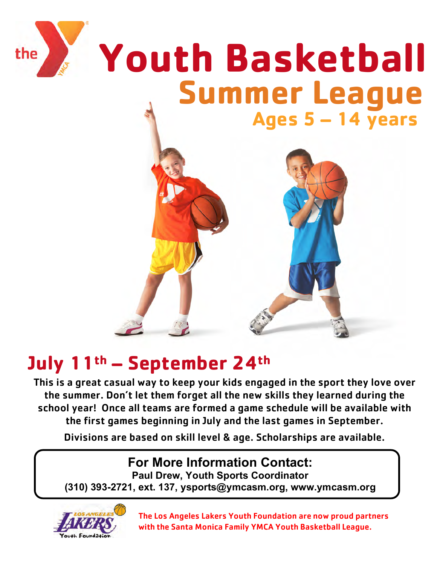

## **July 11th – September 24th**

This is a great casual way to keep your kids engaged in the sport they love over the summer. Don't let them forget all the new skills they learned during the school year! Once all teams are formed a game schedule will be available with the first games beginning in July and the last games in September.

Divisions are based on skill level & age. Scholarships are available.

## **For More Information Contact:**

**Paul Drew, Youth Sports Coordinator**

**(310) 393-2721, ext. 137, ysports@ymcasm.org, www.ymcasm.org**



The Los Angeles Lakers Youth Foundation are now proud partners with the Santa Monica Family YMCA Youth Basketball League.